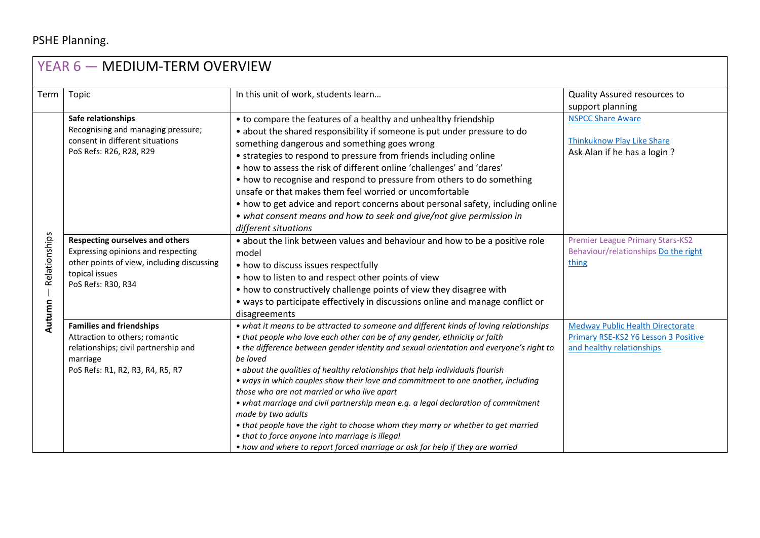## PSHE Planning.

| YEAR 6 - MEDIUM-TERM OVERVIEW |                                                                                                                          |                                                                                                                                 |                                         |  |  |  |
|-------------------------------|--------------------------------------------------------------------------------------------------------------------------|---------------------------------------------------------------------------------------------------------------------------------|-----------------------------------------|--|--|--|
| Term                          | Topic                                                                                                                    | In this unit of work, students learn                                                                                            | Quality Assured resources to            |  |  |  |
|                               |                                                                                                                          |                                                                                                                                 | support planning                        |  |  |  |
|                               | Safe relationships<br>Recognising and managing pressure;<br>consent in different situations<br>PoS Refs: R26, R28, R29   | • to compare the features of a healthy and unhealthy friendship                                                                 | <b>NSPCC Share Aware</b>                |  |  |  |
|                               |                                                                                                                          | • about the shared responsibility if someone is put under pressure to do                                                        |                                         |  |  |  |
|                               |                                                                                                                          | something dangerous and something goes wrong                                                                                    | <b>Thinkuknow Play Like Share</b>       |  |  |  |
|                               |                                                                                                                          | • strategies to respond to pressure from friends including online                                                               | Ask Alan if he has a login ?            |  |  |  |
|                               |                                                                                                                          | • how to assess the risk of different online 'challenges' and 'dares'                                                           |                                         |  |  |  |
|                               |                                                                                                                          | • how to recognise and respond to pressure from others to do something                                                          |                                         |  |  |  |
|                               |                                                                                                                          | unsafe or that makes them feel worried or uncomfortable                                                                         |                                         |  |  |  |
|                               |                                                                                                                          | • how to get advice and report concerns about personal safety, including online                                                 |                                         |  |  |  |
|                               |                                                                                                                          | • what consent means and how to seek and give/not give permission in                                                            |                                         |  |  |  |
|                               |                                                                                                                          | different situations                                                                                                            |                                         |  |  |  |
| Relationships                 | <b>Respecting ourselves and others</b>                                                                                   | • about the link between values and behaviour and how to be a positive role                                                     | <b>Premier League Primary Stars-KS2</b> |  |  |  |
|                               | Expressing opinions and respecting<br>other points of view, including discussing<br>topical issues<br>PoS Refs: R30, R34 | model                                                                                                                           | Behaviour/relationships Do the right    |  |  |  |
|                               |                                                                                                                          | • how to discuss issues respectfully                                                                                            | thing                                   |  |  |  |
|                               |                                                                                                                          | • how to listen to and respect other points of view                                                                             |                                         |  |  |  |
|                               |                                                                                                                          | • how to constructively challenge points of view they disagree with                                                             |                                         |  |  |  |
|                               |                                                                                                                          | • ways to participate effectively in discussions online and manage conflict or                                                  |                                         |  |  |  |
| Autumn                        |                                                                                                                          | disagreements                                                                                                                   |                                         |  |  |  |
|                               | <b>Families and friendships</b>                                                                                          | • what it means to be attracted to someone and different kinds of loving relationships                                          | <b>Medway Public Health Directorate</b> |  |  |  |
|                               | Attraction to others; romantic                                                                                           | • that people who love each other can be of any gender, ethnicity or faith                                                      | Primary RSE-KS2 Y6 Lesson 3 Positive    |  |  |  |
|                               | relationships; civil partnership and                                                                                     | • the difference between gender identity and sexual orientation and everyone's right to                                         | and healthy relationships               |  |  |  |
|                               | marriage                                                                                                                 | be loved                                                                                                                        |                                         |  |  |  |
|                               | PoS Refs: R1, R2, R3, R4, R5, R7                                                                                         | • about the qualities of healthy relationships that help individuals flourish                                                   |                                         |  |  |  |
|                               |                                                                                                                          | • ways in which couples show their love and commitment to one another, including<br>those who are not married or who live apart |                                         |  |  |  |
|                               |                                                                                                                          | • what marriage and civil partnership mean e.g. a legal declaration of commitment                                               |                                         |  |  |  |
|                               |                                                                                                                          | made by two adults                                                                                                              |                                         |  |  |  |
|                               |                                                                                                                          | • that people have the right to choose whom they marry or whether to get married                                                |                                         |  |  |  |
|                               |                                                                                                                          | • that to force anyone into marriage is illegal                                                                                 |                                         |  |  |  |
|                               |                                                                                                                          | • how and where to report forced marriage or ask for help if they are worried                                                   |                                         |  |  |  |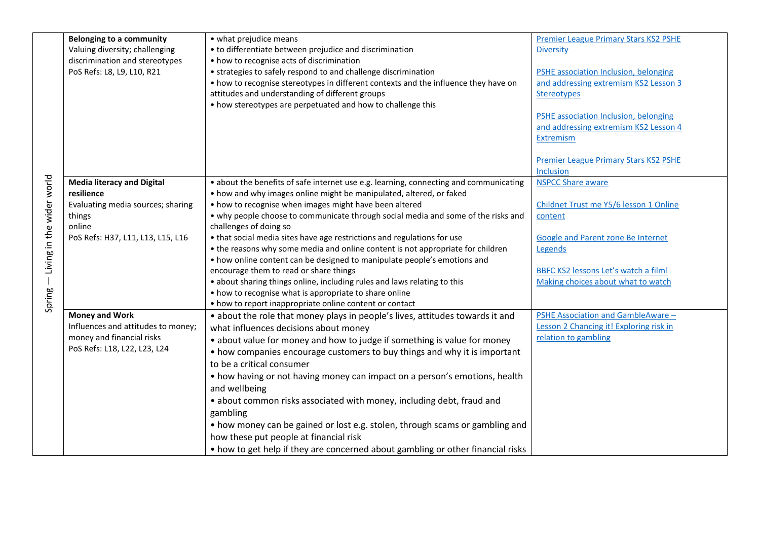|                           | <b>Belonging to a community</b>    | • what prejudice means                                                                | <b>Premier League Primary Stars KS2 PSHE</b> |
|---------------------------|------------------------------------|---------------------------------------------------------------------------------------|----------------------------------------------|
|                           |                                    |                                                                                       |                                              |
|                           | Valuing diversity; challenging     | • to differentiate between prejudice and discrimination                               | <b>Diversity</b>                             |
|                           | discrimination and stereotypes     | • how to recognise acts of discrimination                                             |                                              |
|                           | PoS Refs: L8, L9, L10, R21         | • strategies to safely respond to and challenge discrimination                        | <b>PSHE association Inclusion, belonging</b> |
|                           |                                    | • how to recognise stereotypes in different contexts and the influence they have on   | and addressing extremism KS2 Lesson 3        |
|                           |                                    | attitudes and understanding of different groups                                       | Stereotypes                                  |
|                           |                                    | • how stereotypes are perpetuated and how to challenge this                           |                                              |
|                           |                                    |                                                                                       | PSHE association Inclusion, belonging        |
|                           |                                    |                                                                                       | and addressing extremism KS2 Lesson 4        |
|                           |                                    |                                                                                       | Extremism                                    |
|                           |                                    |                                                                                       |                                              |
|                           |                                    |                                                                                       | <b>Premier League Primary Stars KS2 PSHE</b> |
|                           |                                    |                                                                                       | Inclusion                                    |
|                           | <b>Media literacy and Digital</b>  | • about the benefits of safe internet use e.g. learning, connecting and communicating | <b>NSPCC Share aware</b>                     |
|                           | resilience                         | • how and why images online might be manipulated, altered, or faked                   |                                              |
|                           | Evaluating media sources; sharing  | • how to recognise when images might have been altered                                | Childnet Trust me Y5/6 lesson 1 Online       |
|                           | things                             | • why people choose to communicate through social media and some of the risks and     | content                                      |
|                           | online                             | challenges of doing so                                                                |                                              |
| Living in the wider world | PoS Refs: H37, L11, L13, L15, L16  | • that social media sites have age restrictions and regulations for use               | Google and Parent zone Be Internet           |
|                           |                                    | • the reasons why some media and online content is not appropriate for children       | Legends                                      |
|                           |                                    | • how online content can be designed to manipulate people's emotions and              |                                              |
|                           |                                    | encourage them to read or share things                                                | BBFC KS2 lessons Let's watch a film!         |
|                           |                                    | • about sharing things online, including rules and laws relating to this              | Making choices about what to watch           |
|                           |                                    | • how to recognise what is appropriate to share online                                |                                              |
| Spring                    |                                    | • how to report inappropriate online content or contact                               |                                              |
|                           | <b>Money and Work</b>              | • about the role that money plays in people's lives, attitudes towards it and         | PSHE Association and GambleAware -           |
|                           | Influences and attitudes to money; | what influences decisions about money                                                 | Lesson 2 Chancing it! Exploring risk in      |
|                           | money and financial risks          | • about value for money and how to judge if something is value for money              | relation to gambling                         |
|                           | PoS Refs: L18, L22, L23, L24       | • how companies encourage customers to buy things and why it is important             |                                              |
|                           |                                    | to be a critical consumer                                                             |                                              |
|                           |                                    | • how having or not having money can impact on a person's emotions, health            |                                              |
|                           |                                    | and wellbeing                                                                         |                                              |
|                           |                                    | • about common risks associated with money, including debt, fraud and                 |                                              |
|                           |                                    | gambling                                                                              |                                              |
|                           |                                    | • how money can be gained or lost e.g. stolen, through scams or gambling and          |                                              |
|                           |                                    | how these put people at financial risk                                                |                                              |
|                           |                                    | • how to get help if they are concerned about gambling or other financial risks       |                                              |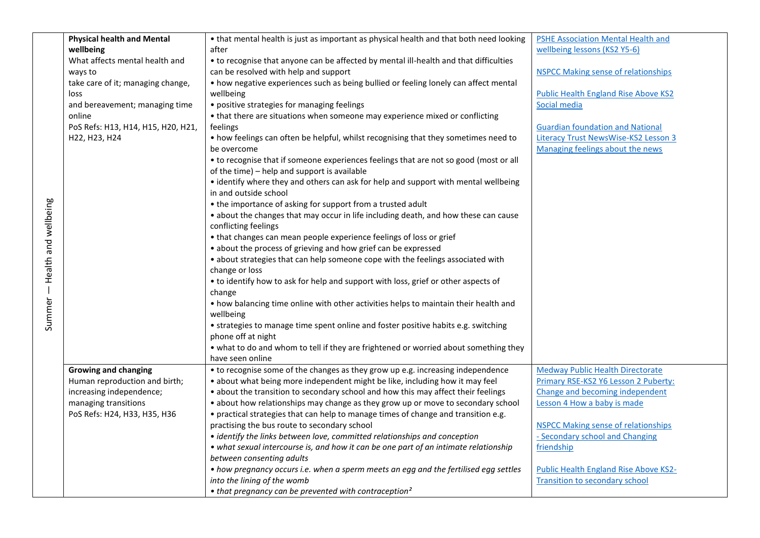|                               | <b>Physical health and Mental</b>  | • that mental health is just as important as physical health and that both need looking | PSHE Association Mental Health and          |
|-------------------------------|------------------------------------|-----------------------------------------------------------------------------------------|---------------------------------------------|
|                               | wellbeing                          | after                                                                                   | wellbeing lessons (KS2 Y5-6)                |
|                               | What affects mental health and     | • to recognise that anyone can be affected by mental ill-health and that difficulties   |                                             |
|                               | ways to                            | can be resolved with help and support                                                   | <b>NSPCC Making sense of relationships</b>  |
|                               | take care of it; managing change,  | • how negative experiences such as being bullied or feeling lonely can affect mental    |                                             |
|                               | loss                               | wellbeing                                                                               | <b>Public Health England Rise Above KS2</b> |
|                               | and bereavement; managing time     | • positive strategies for managing feelings                                             | Social media                                |
|                               | online                             | • that there are situations when someone may experience mixed or conflicting            |                                             |
|                               | PoS Refs: H13, H14, H15, H20, H21, | feelings                                                                                | <b>Guardian foundation and National</b>     |
|                               | H22, H23, H24                      | . how feelings can often be helpful, whilst recognising that they sometimes need to     | Literacy Trust NewsWise-KS2 Lesson 3        |
|                               |                                    | be overcome                                                                             | Managing feelings about the news            |
|                               |                                    | • to recognise that if someone experiences feelings that are not so good (most or all   |                                             |
|                               |                                    | of the time) - help and support is available                                            |                                             |
|                               |                                    | • identify where they and others can ask for help and support with mental wellbeing     |                                             |
|                               |                                    | in and outside school                                                                   |                                             |
|                               |                                    | • the importance of asking for support from a trusted adult                             |                                             |
|                               |                                    | • about the changes that may occur in life including death, and how these can cause     |                                             |
|                               |                                    | conflicting feelings                                                                    |                                             |
|                               |                                    | • that changes can mean people experience feelings of loss or grief                     |                                             |
|                               |                                    | • about the process of grieving and how grief can be expressed                          |                                             |
|                               |                                    | • about strategies that can help someone cope with the feelings associated with         |                                             |
|                               |                                    | change or loss                                                                          |                                             |
|                               |                                    | • to identify how to ask for help and support with loss, grief or other aspects of      |                                             |
|                               |                                    | change                                                                                  |                                             |
|                               |                                    | • how balancing time online with other activities helps to maintain their health and    |                                             |
|                               |                                    | wellbeing                                                                               |                                             |
| Summer – Health and wellbeing |                                    | • strategies to manage time spent online and foster positive habits e.g. switching      |                                             |
|                               |                                    | phone off at night                                                                      |                                             |
|                               |                                    | . what to do and whom to tell if they are frightened or worried about something they    |                                             |
|                               |                                    | have seen online                                                                        |                                             |
|                               | <b>Growing and changing</b>        | • to recognise some of the changes as they grow up e.g. increasing independence         | <b>Medway Public Health Directorate</b>     |
|                               | Human reproduction and birth;      | • about what being more independent might be like, including how it may feel            | Primary RSE-KS2 Y6 Lesson 2 Puberty:        |
|                               | increasing independence;           | • about the transition to secondary school and how this may affect their feelings       | Change and becoming independent             |
|                               | managing transitions               | • about how relationships may change as they grow up or move to secondary school        | Lesson 4 How a baby is made                 |
|                               | PoS Refs: H24, H33, H35, H36       | • practical strategies that can help to manage times of change and transition e.g.      |                                             |
|                               |                                    | practising the bus route to secondary school                                            | <b>NSPCC Making sense of relationships</b>  |
|                               |                                    | • identify the links between love, committed relationships and conception               | - Secondary school and Changing             |
|                               |                                    | • what sexual intercourse is, and how it can be one part of an intimate relationship    | friendship                                  |
|                               |                                    | between consenting adults                                                               |                                             |
|                               |                                    | • how pregnancy occurs i.e. when a sperm meets an egg and the fertilised egg settles    | Public Health England Rise Above KS2-       |
|                               |                                    | into the lining of the womb                                                             | <b>Transition to secondary school</b>       |
|                               |                                    | • that pregnancy can be prevented with contraception <sup>2</sup>                       |                                             |

Summer - Health and wellbeing